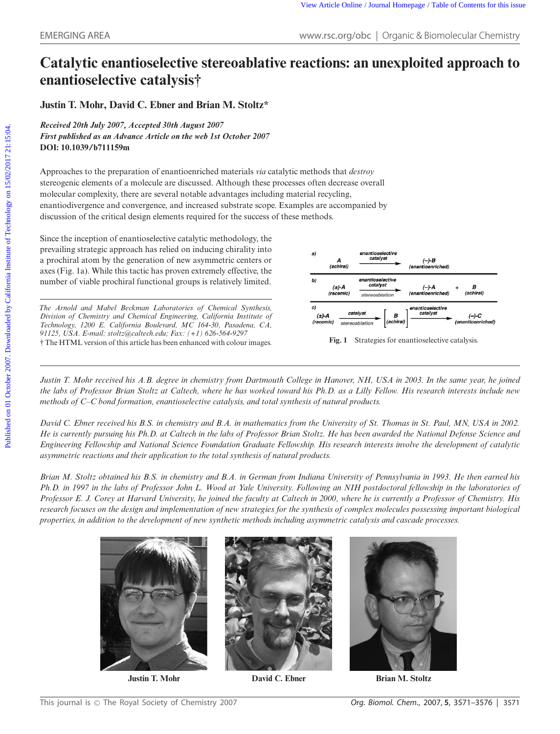## **Catalytic enantioselective stereoablative reactions: an unexploited approach to enantioselective catalysis†**

**Justin T. Mohr, David C. Ebner and Brian M. Stoltz\***

*Received 20th July 2007, Accepted 30th August 2007 First published as an Advance Article on the web 1st October 2007* **DOI: 10.1039/b711159m**

Approaches to the preparation of enantioenriched materials *via* catalytic methods that *destroy* stereogenic elements of a molecule are discussed. Although these processes often decrease overall molecular complexity, there are several notable advantages including material recycling, enantiodivergence and convergence, and increased substrate scope. Examples are accompanied by discussion of the critical design elements required for the success of these methods. **Published on Case of Contents for California Institute of California Institute of California Institute of Technology of Technology on 15/02/2017 21:15:04. [View Article Online](http://dx.doi.org/10.1039/b711159m) of Technology of Technology on 15/02/2017 21:** 

Since the inception of enantioselective catalytic methodology, the prevailing strategic approach has relied on inducing chirality into a prochiral atom by the generation of new asymmetric centers or axes (Fig. 1a). While this tactic has proven extremely effective, the number of viable prochiral functional groups is relatively limited.

*The Arnold and Mabel Beckman Laboratories of Chemical Synthesis, Division of Chemistry and Chemical Engineering, California Institute of Technology, 1200 E. California Boulevard, MC 164-30, Pasadena, CA, 91125, USA. E-mail: stoltz@caltech.edu; Fax: (+1) 626-564-9297* † The HTML version of this article has been enhanced with colour images.





*Justin T. Mohr received his A.B. degree in chemistry from Dartmouth College in Hanover, NH, USA in 2003. In the same year, he joined the labs of Professor Brian Stoltz at Caltech, where he has worked toward his Ph.D. as a Lilly Fellow. His research interests include new methods of C–C bond formation, enantioselective catalysis, and total synthesis of natural products.*

*David C. Ebner received his B.S. in chemistry and B.A. in mathematics from the University of St. Thomas in St. Paul, MN, USA in 2002. He is currently pursuing his Ph.D. at Caltech in the labs of Professor Brian Stoltz. He has been awarded the National Defense Science and Engineering Fellowship and National Science Foundation Graduate Fellowship. His research interests involve the development of catalytic asymmetric reactions and their application to the total synthesis of natural products.*

*Brian M. Stoltz obtained his B.S. in chemistry and B.A. in German from Indiana University of Pennsylvania in 1993. He then earned his Ph.D. in 1997 in the labs of Professor John L. Wood at Yale University. Following an NIH postdoctoral fellowship in the laboratories of Professor E. J. Corey at Harvard University, he joined the faculty at Caltech in 2000, where he is currently a Professor of Chemistry. His research focuses on the design and implementation of new strategies for the synthesis of complex molecules possessing important biological properties, in addition to the development of new synthetic methods including asymmetric catalysis and cascade processes.*





**Justin T. Mohr David C. Ebner Brian M. Stoltz**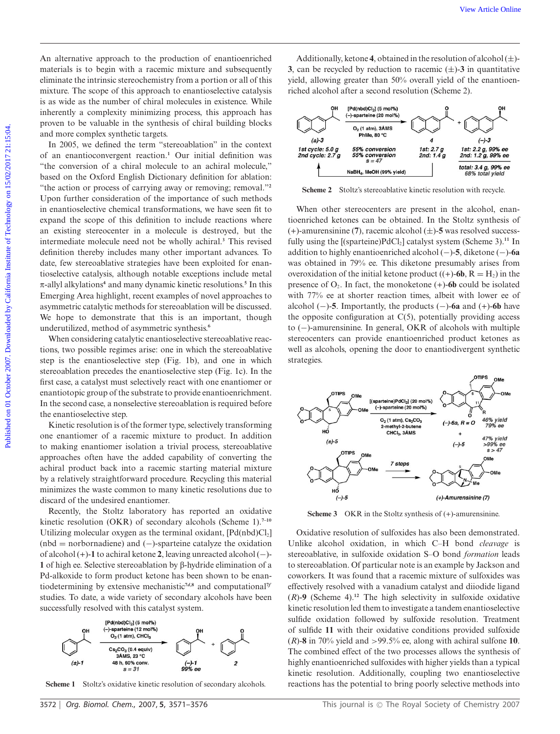An alternative approach to the production of enantioenriched materials is to begin with a racemic mixture and subsequently eliminate the intrinsic stereochemistry from a portion or all of this mixture. The scope of this approach to enantioselective catalysis is as wide as the number of chiral molecules in existence. While inherently a complexity minimizing process, this approach has proven to be valuable in the synthesis of chiral building blocks and more complex synthetic targets.

In 2005, we defined the term "stereoablation" in the context of an enantioconvergent reaction.**<sup>1</sup>** Our initial definition was "the conversion of a chiral molecule to an achiral molecule," based on the Oxford English Dictionary definition for ablation: "the action or process of carrying away or removing; removal."**<sup>2</sup>** Upon further consideration of the importance of such methods in enantioselective chemical transformations, we have seen fit to expand the scope of this definition to include reactions where an existing stereocenter in a molecule is destroyed, but the intermediate molecule need not be wholly achiral.**<sup>3</sup>** This revised definition thereby includes many other important advances. To date, few stereoablative strategies have been exploited for enantioselective catalysis, although notable exceptions include metal  $\pi$ -allyl alkylations<sup>4</sup> and many dynamic kinetic resolutions.<sup>5</sup> In this Emerging Area highlight, recent examples of novel approaches to asymmetric catalytic methods for stereoablation will be discussed. We hope to demonstrate that this is an important, though underutilized, method of asymmetric synthesis.**<sup>6</sup>** An alternative spyrooch to the production of contains<br>varied Additionally, known divisional interaction of the contains of<br>the contains of the content of the content of the content of the control of the content of the con

When considering catalytic enantioselective stereoablative reactions, two possible regimes arise: one in which the stereoablative step is the enantioselective step (Fig. 1b), and one in which stereoablation precedes the enantioselective step (Fig. 1c). In the first case, a catalyst must selectively react with one enantiomer or enantiotopic group of the substrate to provide enantioenrichment. In the second case, a nonselective stereoablation is required before the enantioselective step.

Kinetic resolution is of the former type, selectively transforming one enantiomer of a racemic mixture to product. In addition to making enantiomer isolation a trivial process, stereoablative approaches often have the added capability of converting the achiral product back into a racemic starting material mixture by a relatively straightforward procedure. Recycling this material minimizes the waste common to many kinetic resolutions due to discard of the undesired enantiomer.

Recently, the Stoltz laboratory has reported an oxidative kinetic resolution (OKR) of secondary alcohols (Scheme 1).**7–10** Utilizing molecular oxygen as the terminal oxidant,  $[Pd(nbd)Cl_2]$ (nbd = norbornadiene) and (−)-sparteine catalyze the oxidation of alcohol (+)-**1** to achiral ketone **2**, leaving unreacted alcohol (−)- **1** of high ee. Selective stereoablation by  $\beta$ -hydride elimination of a Pd-alkoxide to form product ketone has been shown to be enantiodetermining by extensive mechanistic<sup>7*d*,8</sup> and computational<sup>7*f*</sup> studies. To date, a wide variety of secondary alcohols have been successfully resolved with this catalyst system.



**Scheme 1** Stoltz's oxidative kinetic resolution of secondary alcohols.

Additionally, ketone **4**, obtained in the resolution of alcohol  $(\pm)$ -**3**, can be recycled by reduction to racemic  $(\pm)$ -3 in quantitative yield, allowing greater than 50% overall yield of the enantioenriched alcohol after a second resolution (Scheme 2).



**Scheme 2** Stoltz's stereoablative kinetic resolution with recycle.

When other stereocenters are present in the alcohol, enantioenriched ketones can be obtained. In the Stoltz synthesis of  $(+)$ -amurensinine (7), racemic alcohol  $(\pm)$ -5 was resolved successfully using the [(sparteine)PdCl<sub>2</sub>] catalyst system (Scheme 3).<sup>11</sup> In addition to highly enantioenriched alcohol (−)-**5**, diketone (−)-**6a** was obtained in 79% ee. This diketone presumably arises from overoxidation of the initial ketone product  $((+)$ -6b,  $R = H_2$ ) in the presence of  $O_2$ . In fact, the monoketone  $(+)$ -6b could be isolated with 77% ee at shorter reaction times, albeit with lower ee of alcohol (−)-**5**. Importantly, the products (−)-**6a** and (+)-**6b** have the opposite configuration at  $C(5)$ , potentially providing access to (−)-amurensinine. In general, OKR of alcohols with multiple stereocenters can provide enantioenriched product ketones as well as alcohols, opening the door to enantiodivergent synthetic strategies.



**Scheme 3** OKR in the Stoltz synthesis of (+)-amurensinine.

Oxidative resolution of sulfoxides has also been demonstrated. Unlike alcohol oxidation, in which C–H bond *cleavage* is stereoablative, in sulfoxide oxidation S–O bond *formation* leads to stereoablation. Of particular note is an example by Jackson and coworkers. It was found that a racemic mixture of sulfoxides was effectively resolved with a vanadium catalyst and diiodide ligand (*R*)-**9** (Scheme 4).**<sup>12</sup>** The high selectivity in sulfoxide oxidative kinetic resolution led them to investigate a tandem enantioselective sulfide oxidation followed by sulfoxide resolution. Treatment of sulfide **11** with their oxidative conditions provided sulfoxide (*R*)-**8** in 70% yield and >99.5% ee, along with achiral sulfone **10**. The combined effect of the two processes allows the synthesis of highly enantioenriched sulfoxides with higher yields than a typical kinetic resolution. Additionally, coupling two enantioselective reactions has the potential to bring poorly selective methods into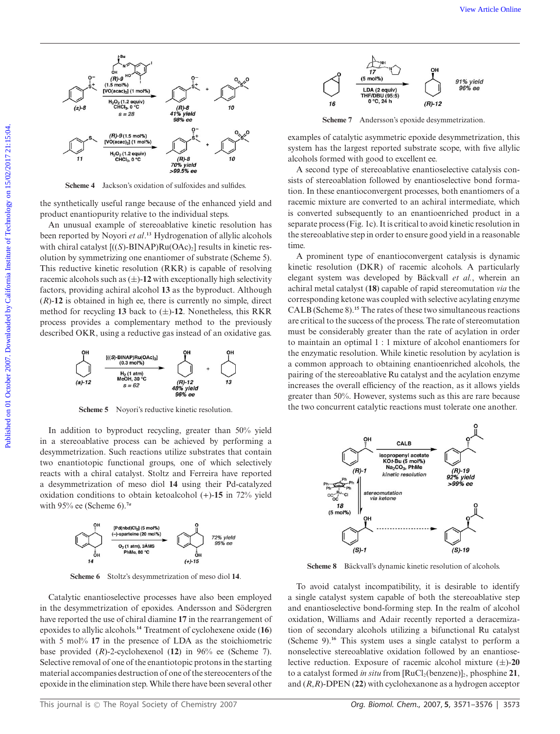

**Scheme 4** Jackson's oxidation of sulfoxides and sulfides.

the synthetically useful range because of the enhanced yield and product enantiopurity relative to the individual steps.

An unusual example of stereoablative kinetic resolution has been reported by Noyori *et al*. **<sup>13</sup>** Hydrogenation of allylic alcohols with chiral catalyst  $[(S)$ -BINAP)Ru $(OAc)_2]$  results in kinetic resolution by symmetrizing one enantiomer of substrate (Scheme 5). This reductive kinetic resolution (RKR) is capable of resolving racemic alcohols such as  $(\pm)$ -12 with exceptionally high selectivity factors, providing achiral alcohol **13** as the byproduct. Although (*R*)-**12** is obtained in high ee, there is currently no simple, direct method for recycling **13** back to (±)-**12**. Nonetheless, this RKR process provides a complementary method to the previously described OKR, using a reductive gas instead of an oxidative gas.



**Scheme 5** Noyori's reductive kinetic resolution.

In addition to byproduct recycling, greater than 50% yield in a stereoablative process can be achieved by performing a desymmetrization. Such reactions utilize substrates that contain two enantiotopic functional groups, one of which selectively reacts with a chiral catalyst. Stoltz and Ferreira have reported a desymmetrization of meso diol **14** using their Pd-catalyzed oxidation conditions to obtain ketoalcohol (+)-**15** in 72% yield with 95% ee (Scheme 6).**<sup>7</sup>***<sup>a</sup>*



**Scheme 6** Stoltz's desymmetrization of meso diol **14**.

Catalytic enantioselective processes have also been employed in the desymmetrization of epoxides. Andersson and Södergren have reported the use of chiral diamine **17** in the rearrangement of epoxides to allylic alcohols.**<sup>14</sup>** Treatment of cyclohexene oxide (**16**) with 5 mol<sup>%</sup> 17 in the presence of LDA as the stoichiometric base provided (*R*)-2-cyclohexenol (**12**) in 96% ee (Scheme 7). Selective removal of one of the enantiotopic protons in the starting material accompanies destruction of one of the stereocenters of the epoxide in the elimination step. While there have been several other



**Scheme 7** Andersson's epoxide desymmetrization.

examples of catalytic asymmetric epoxide desymmetrization, this system has the largest reported substrate scope, with five allylic alcohols formed with good to excellent ee.

A second type of stereoablative enantioselective catalysis consists of stereoablation followed by enantioselective bond formation. In these enantioconvergent processes, both enantiomers of a racemic mixture are converted to an achiral intermediate, which is converted subsequently to an enantioenriched product in a separate process (Fig. 1c). It is critical to avoid kinetic resolution in the stereoablative step in order to ensure good yield in a reasonable time.

A prominent type of enantioconvergent catalysis is dynamic kinetic resolution (DKR) of racemic alcohols. A particularly elegant system was developed by Bäckvall et al., wherein an achiral metal catalyst (**18**) capable of rapid stereomutation *via* the corresponding ketone was coupled with selective acylating enzyme CALB (Scheme 8).**<sup>15</sup>** The rates of these two simultaneous reactions are critical to the success of the process. The rate of stereomutation must be considerably greater than the rate of acylation in order to maintain an optimal 1 : 1 mixture of alcohol enantiomers for the enzymatic resolution. While kinetic resolution by acylation is a common approach to obtaining enantioenriched alcohols, the pairing of the stereoablative Ru catalyst and the acylation enzyme increases the overall efficiency of the reaction, as it allows yields greater than 50%. However, systems such as this are rare because the two concurrent catalytic reactions must tolerate one another. **Published on OFF California Institute of California Institute of Technology on California Institute of California Institute of California Institute of California Institute of California Institute of California Institute** 



**Scheme 8** Bäckvall's dynamic kinetic resolution of alcohols.

To avoid catalyst incompatibility, it is desirable to identify a single catalyst system capable of both the stereoablative step and enantioselective bond-forming step. In the realm of alcohol oxidation, Williams and Adair recently reported a deracemization of secondary alcohols utilizing a bifunctional Ru catalyst (Scheme 9).**<sup>16</sup>** This system uses a single catalyst to perform a nonselective stereoablative oxidation followed by an enantioselective reduction. Exposure of racemic alcohol mixture (±)-**20** to a catalyst formed *in situ* from  $[RuCl_2(benzene)]_2$ , phosphine 21, and (*R*,*R*)-DPEN (**22**) with cyclohexanone as a hydrogen acceptor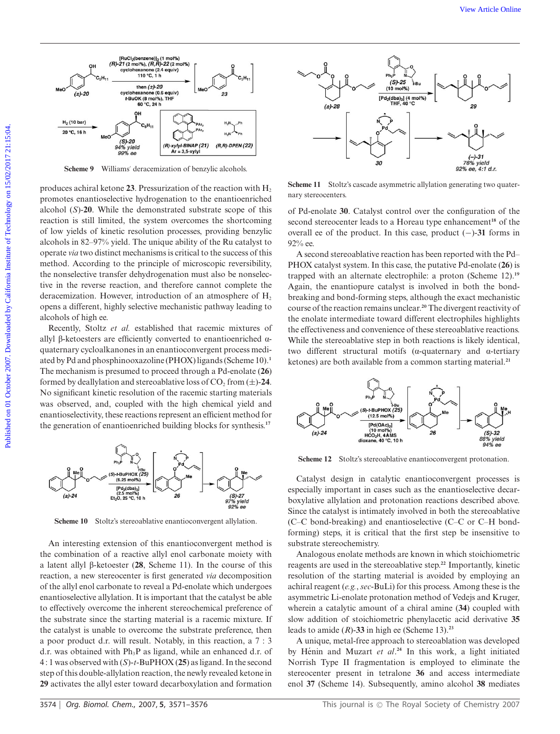

**Scheme 9** Williams' deracemization of benzylic alcohols.

produces achiral ketone 23. Pressurization of the reaction with  $H_2$ promotes enantioselective hydrogenation to the enantioenriched alcohol (*S*)-**20**. While the demonstrated substrate scope of this reaction is still limited, the system overcomes the shortcoming of low yields of kinetic resolution processes, providing benzylic alcohols in 82–97% yield. The unique ability of the Ru catalyst to operate *via* two distinct mechanisms is critical to the success of this method. According to the principle of microscopic reversibility, the nonselective transfer dehydrogenation must also be nonselective in the reverse reaction, and therefore cannot complete the deracemization. However, introduction of an atmosphere of  $H_2$ opens a different, highly selective mechanistic pathway leading to alcohols of high ee. **Published on 01 October 2007.** The Anti-Colline of Technology on  $\frac{P_{\text{total}}}{P_{\text{total}}}\left(\frac{P_{\text{total}}}{P_{\text{total}}}\right)$ <br>  $\frac{P_{\text{total}}}{P_{\text{total}}}\left(\frac{P_{\text{total}}}{P_{\text{total}}}\right)$ <br>  $\frac{P_{\text{total}}}{P_{\text{total}}}\left(\frac{P_{\text{total}}}{P_{\text{total}}}\right)$ <br>  $\frac{P_{\text{total}}}{P_{\text{total}}}\$ 

Recently, Stoltz *et al.* established that racemic mixtures of allyl  $\beta$ -ketoesters are efficiently converted to enantioenriched  $\alpha$ quaternary cycloalkanones in an enantioconvergent process mediated by Pd and phosphinooxazoline (PHOX) ligands (Scheme 10).**<sup>1</sup>** The mechanism is presumed to proceed through a Pd-enolate (**26**) formed by deallylation and stereoablative loss of  $CO<sub>2</sub>$  from  $(\pm)$ -24. No significant kinetic resolution of the racemic starting materials was observed, and, coupled with the high chemical yield and enantioselectivity, these reactions represent an efficient method for the generation of enantioenriched building blocks for synthesis.**<sup>17</sup>**



**Scheme 10** Stoltz's stereoablative enantioconvergent allylation.

An interesting extension of this enantioconvergent method is the combination of a reactive allyl enol carbonate moiety with a latent allyl b-ketoester (**28**, Scheme 11). In the course of this reaction, a new stereocenter is first generated *via* decomposition of the allyl enol carbonate to reveal a Pd-enolate which undergoes enantioselective allylation. It is important that the catalyst be able to effectively overcome the inherent stereochemical preference of the substrate since the starting material is a racemic mixture. If the catalyst is unable to overcome the substrate preference, then a poor product d.r. will result. Notably, in this reaction, a 7 : 3 d.r. was obtained with  $Ph_3P$  as ligand, while an enhanced d.r. of 4 : 1 was observed with (*S*)-*t*-BuPHOX (**25**) as ligand. In the second step of this double-allylation reaction, the newly revealed ketone in **29** activates the allyl ester toward decarboxylation and formation



**Scheme 11** Stoltz's cascade asymmetric allylation generating two quaternary stereocenters.

of Pd-enolate **30**. Catalyst control over the configuration of the second stereocenter leads to a Horeau type enhancement<sup>18</sup> of the overall ee of the product. In this case, product (−)-**31** forms in 92% ee.

A second stereoablative reaction has been reported with the Pd– PHOX catalyst system. In this case, the putative Pd-enolate (**26**) is trapped with an alternate electrophile: a proton (Scheme 12).**<sup>19</sup>** Again, the enantiopure catalyst is involved in both the bondbreaking and bond-forming steps, although the exact mechanistic course of the reaction remains unclear.**<sup>20</sup>** The divergent reactivity of the enolate intermediate toward different electrophiles highlights the effectiveness and convenience of these stereoablative reactions. While the stereoablative step in both reactions is likely identical, two different structural motifs ( $\alpha$ -quaternary and  $\alpha$ -tertiary ketones) are both available from a common starting material.**<sup>21</sup>**



**Scheme 12** Stoltz's stereoablative enantioconvergent protonation.

Catalyst design in catalytic enantioconvergent processes is especially important in cases such as the enantioselective decarboxylative allylation and protonation reactions described above. Since the catalyst is intimately involved in both the stereoablative (C–C bond-breaking) and enantioselective (C–C or C–H bondforming) steps, it is critical that the first step be insensitive to substrate stereochemistry.

Analogous enolate methods are known in which stoichiometric reagents are used in the stereoablative step.**<sup>22</sup>** Importantly, kinetic resolution of the starting material is avoided by employing an achiral reagent (*e.g.*, *sec*-BuLi) for this process. Among these is the asymmetric Li-enolate protonation method of Vedejs and Kruger, wherein a catalytic amount of a chiral amine (**34**) coupled with slow addition of stoichiometric phenylacetic acid derivative **35** leads to amide  $(R)$ -33 in high ee (Scheme 13).<sup>23</sup>

A unique, metal-free approach to stereoablation was developed by Hénin and Muzart et al.<sup>24</sup> In this work, a light initiated Norrish Type II fragmentation is employed to eliminate the stereocenter present in tetralone **36** and access intermediate enol **37** (Scheme 14). Subsequently, amino alcohol **38** mediates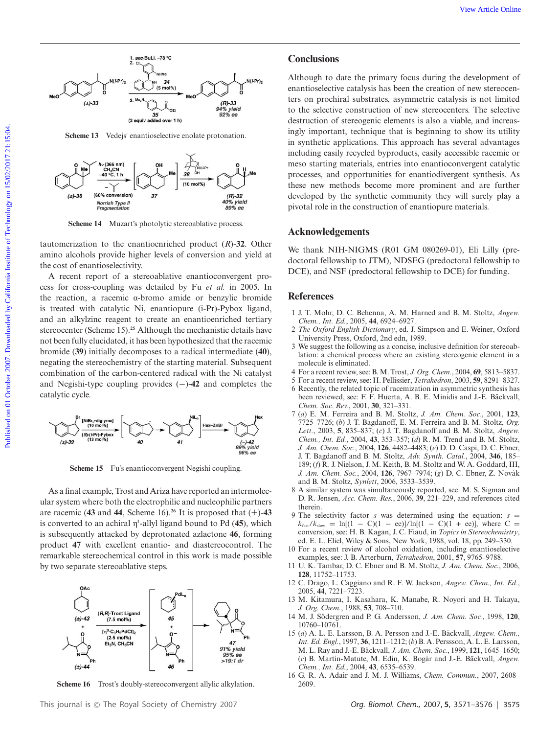

**Scheme 13** Vedejs' enantioselective enolate protonation.



**Scheme 14** Muzart's photolytic stereoablative process.

tautomerization to the enantioenriched product (*R*)-**32**. Other amino alcohols provide higher levels of conversion and yield at the cost of enantioselectivity.

A recent report of a stereoablative enantioconvergent process for cross-coupling was detailed by Fu *et al.* in 2005. In the reaction, a racemic a-bromo amide or benzylic bromide is treated with catalytic Ni, enantiopure (i-Pr)-Pybox ligand, and an alkylzinc reagent to create an enantioenriched tertiary stereocenter (Scheme 15).<sup>25</sup> Although the mechanistic details have not been fully elucidated, it has been hypothesized that the racemic bromide (**39**) initially decomposes to a radical intermediate (**40**), negating the stereochemistry of the starting material. Subsequent combination of the carbon-centered radical with the Ni catalyst and Negishi-type coupling provides (−)-**42** and completes the catalytic cycle.



**Scheme 15** Fu's enantioconvergent Negishi coupling.

As a final example, Trost and Ariza have reported an intermolecular system where both the electrophilic and nucleophilic partners are racemic (43 and 44, Scheme 16).<sup>26</sup> It is proposed that  $(\pm)$ -43 is converted to an achiral  $\eta^3$ -allyl ligand bound to Pd (45), which is subsequently attacked by deprotonated azlactone **46**, forming product **47** with excellent enantio- and diastereocontrol. The remarkable stereochemical control in this work is made possible by two separate stereoablative steps.



Scheme 16 Trost's doubly-stereoconvergent allylic alkylation.

## **Conclusions**

Although to date the primary focus during the development of enantioselective catalysis has been the creation of new stereocenters on prochiral substrates, asymmetric catalysis is not limited to the selective construction of new stereocenters. The selective destruction of stereogenic elements is also a viable, and increasingly important, technique that is beginning to show its utility in synthetic applications. This approach has several advantages including easily recycled byproducts, easily accessible racemic or meso starting materials, entries into enantioconvergent catalytic processes, and opportunities for enantiodivergent synthesis. As these new methods become more prominent and are further developed by the synthetic community they will surely play a pivotal role in the construction of enantiopure materials.  $\begin{CD} \text{Puler} & \text{Puler} \\ \text{MME} \\ \text{MME} \\ \text{MME} \\ \text{MME} \\ \text{MME} \\ \text{MME} \\ \text{MME} \\ \text{MME} \\ \text{MME} \\ \text{MME} \\ \text{MME} \\ \text{MME} \\ \text{MME} \\ \text{MME} \\ \text{MME} \\ \text{MME} \\ \text{MME} \\ \text{MME} \\ \text{MME} \\ \text{MME} \\ \text{MME} \\ \text{MME} \\ \text{MME} \\ \text{MME} \\ \text{MME} \\ \text{MME} \\ \text{MME} \\ \text{MME} \\ \text{MME$ 

## **Acknowledgements**

We thank NIH-NIGMS (R01 GM 080269-01), Eli Lilly (predoctoral fellowship to JTM), NDSEG (predoctoral fellowship to DCE), and NSF (predoctoral fellowship to DCE) for funding.

## **References**

- 1 J. T. Mohr, D. C. Behenna, A. M. Harned and B. M. Stoltz, *Angew. Chem., Int. Ed.*, 2005, **44**, 6924–6927.
- 2 *The Oxford English Dictionary*, ed. J. Simpson and E. Weiner, Oxford University Press, Oxford, 2nd edn, 1989.
- 3 We suggest the following as a concise, inclusive definition for stereoablation: a chemical process where an existing stereogenic element in a molecule is eliminated.
- 4 For a recent review, see: B.M. Trost, *J. Org. Chem.*, 2004, **69**, 5813–5837.
- 5 For a recent review, see: H. Pellissier, *Tetrahedron*, 2003, **59**, 8291–8327.
- 6 Recently, the related topic of racemization in asymmetric synthesis has been reviewed, see: F. F. Huerta, A. B. E. Minidis and J.-E. Bäckvall, *Chem. Soc. Rev.*, 2001, **30**, 321–331.
- 7 (*a*) E. M. Ferreira and B. M. Stoltz, *J. Am. Chem. Soc.*, 2001, **123**, 7725–7726; (*b*) J. T. Bagdanoff, E. M. Ferreira and B. M. Stoltz, *Org. Lett.*, 2003, **5**, 835–837; (*c*) J. T. Bagdanoff and B. M. Stoltz, *Angew. Chem., Int. Ed.*, 2004, **43**, 353–357; (*d*) R. M. Trend and B. M. Stoltz, *J. Am. Chem. Soc.*, 2004, **126**, 4482–4483; (*e*) D. D. Caspi, D. C. Ebner, J. T. Bagdanoff and B. M. Stoltz, *Adv. Synth. Catal.*, 2004, **346**, 185– 189; (*f*) R. J. Nielson, J. M. Keith, B. M. Stoltz and W. A. Goddard, III, *J. Am. Chem. Soc.*, 2004, **126**, 7967–7974; (*g*) D. C. Ebner, Z. Novak´ and B. M. Stoltz, *Synlett*, 2006, 3533–3539.
- 8 A similar system was simultaneously reported, see: M. S. Sigman and D. R. Jensen, *Acc. Chem. Res.*, 2006, **39**, 221–229, and references cited therein.
- 9 The selectivity factor *s* was determined using the equation:  $s =$  $k_{\text{fast}}/k_{\text{slow}} = \ln[(1 - \text{C})(1 - \text{ee})]/\ln[(1 - \text{C})(1 + \text{ee})]$ , where C = conversion, see: H. B. Kagan, J. C. Fiaud, in *Topics in Stereochemistry*, ed. E. L. Eliel, Wiley & Sons, New York, 1988, vol. 18, pp. 249–330.
- 10 For a recent review of alcohol oxidation, including enantioselective examples, see: J. B. Arterburn, *Tetrahedron*, 2001, **57**, 9765–9788.
- 11 U. K. Tambar, D. C. Ebner and B. M. Stoltz, *J. Am. Chem. Soc.*, 2006, **128**, 11752–11753.
- 12 C. Drago, L. Caggiano and R. F. W. Jackson, *Angew. Chem., Int. Ed.*, 2005, **44**, 7221–7223.
- 13 M. Kitamura, I. Kasahara, K. Manabe, R. Noyori and H. Takaya, *J. Org. Chem.*, 1988, **53**, 708–710.
- 14 M. J. Södergren and P. G. Andersson, *J. Am. Chem. Soc.*, 1998, 120, 10760–10761.
- 15 (a) A. L. E. Larsson, B. A. Persson and J.-E. Bäckvall, Angew. Chem., *Int. Ed. Engl.*, 1997, **36**, 1211–1212; (*b*) B. A. Perssson, A. L. E. Larsson, M. L. Ray and J.-E. Bäckvall, *J. Am. Chem. Soc.*, 1999, 121, 1645-1650; (c) B. Martín-Matute, M. Edin, K. Bogár and J.-E. Bäckvall, Angew. *Chem., Int. Ed.*, 2004, **43**, 6535–6539.
- 16 G. R. A. Adair and J. M. J. Williams, *Chem. Commun.*, 2007, 2608– 2609.